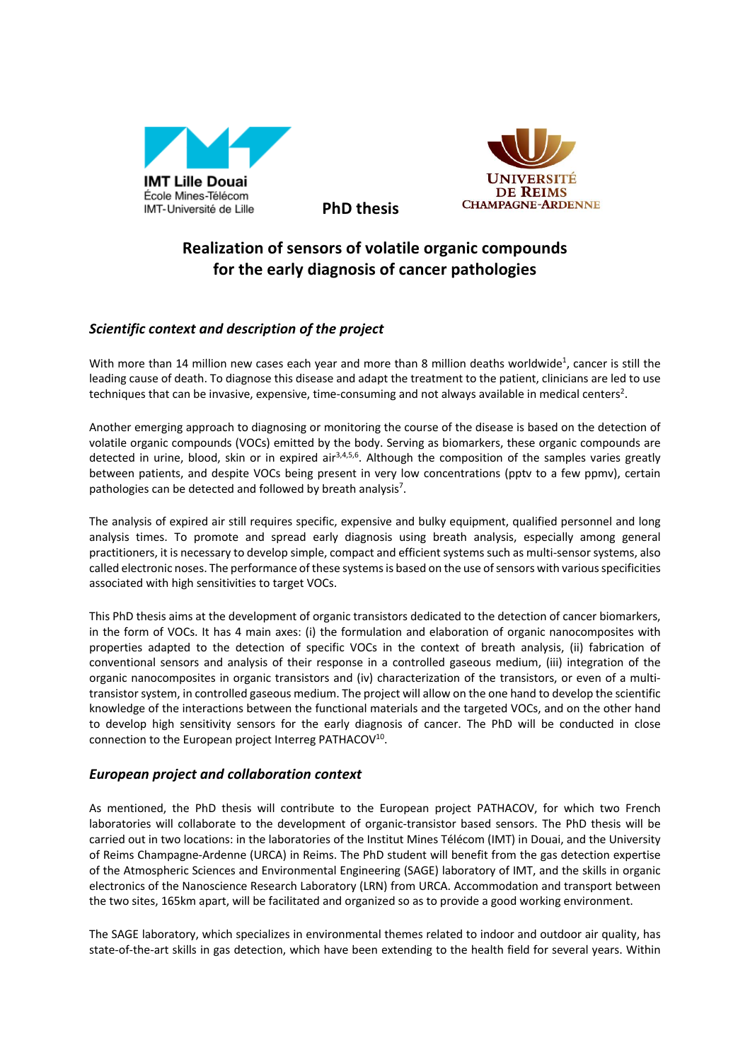

**JNIVERSITE** DE REIMS **CHAMPAGNE-ARDENNE** 

## **Realization of sensors of volatile organic compounds for the early diagnosis of cancer pathologies**

**PhD thesis**

## *Scientific context and description of the project*

With more than 14 million new cases each year and more than 8 million deaths worldwide<sup>1</sup>, cancer is still the leading cause of death. To diagnose this disease and adapt the treatment to the patient, clinicians are led to use techniques that can be invasive, expensive, time-consuming and not always available in medical centers<sup>2</sup>.

Another emerging approach to diagnosing or monitoring the course of the disease is based on the detection of volatile organic compounds (VOCs) emitted by the body. Serving as biomarkers, these organic compounds are detected in urine, blood, skin or in expired air<sup>3,4,5,6</sup>. Although the composition of the samples varies greatly between patients, and despite VOCs being present in very low concentrations (pptv to a few ppmv), certain pathologies can be detected and followed by breath analysis<sup>7</sup>.

The analysis of expired air still requires specific, expensive and bulky equipment, qualified personnel and long analysis times. To promote and spread early diagnosis using breath analysis, especially among general practitioners, it is necessary to develop simple, compact and efficient systems such as multi-sensor systems, also called electronic noses. The performance of these systems is based on the use of sensors with various specificities associated with high sensitivities to target VOCs.

This PhD thesis aims at the development of organic transistors dedicated to the detection of cancer biomarkers, in the form of VOCs. It has 4 main axes: (i) the formulation and elaboration of organic nanocomposites with properties adapted to the detection of specific VOCs in the context of breath analysis, (ii) fabrication of conventional sensors and analysis of their response in a controlled gaseous medium, (iii) integration of the organic nanocomposites in organic transistors and (iv) characterization of the transistors, or even of a multitransistor system, in controlled gaseous medium. The project will allow on the one hand to develop the scientific knowledge of the interactions between the functional materials and the targeted VOCs, and on the other hand to develop high sensitivity sensors for the early diagnosis of cancer. The PhD will be conducted in close connection to the European project Interreg PATHACOV<sup>10</sup>.

## *European project and collaboration context*

As mentioned, the PhD thesis will contribute to the European project PATHACOV, for which two French laboratories will collaborate to the development of organic-transistor based sensors. The PhD thesis will be carried out in two locations: in the laboratories of the Institut Mines Télécom (IMT) in Douai, and the University of Reims Champagne-Ardenne (URCA) in Reims. The PhD student will benefit from the gas detection expertise of the Atmospheric Sciences and Environmental Engineering (SAGE) laboratory of IMT, and the skills in organic electronics of the Nanoscience Research Laboratory (LRN) from URCA. Accommodation and transport between the two sites, 165km apart, will be facilitated and organized so as to provide a good working environment.

The SAGE laboratory, which specializes in environmental themes related to indoor and outdoor air quality, has state-of-the-art skills in gas detection, which have been extending to the health field for several years. Within